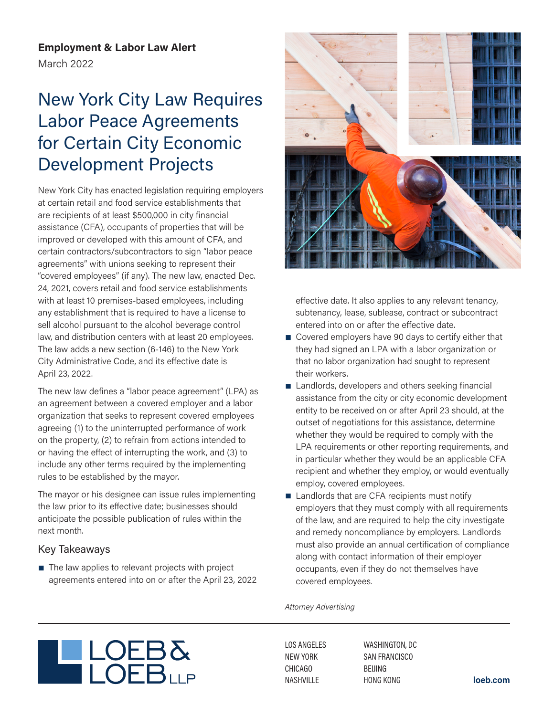**Employment & Labor Law Alert** March 2022

# New York City Law Requires Labor Peace Agreements for Certain City Economic Development Projects

New York City has enacted legislation requiring employers at certain retail and food service establishments that are recipients of at least \$500,000 in city financial assistance (CFA), occupants of properties that will be improved or developed with this amount of CFA, and certain contractors/subcontractors to sign "labor peace agreements" with unions seeking to represent their "covered employees" (if any). The new law, enacted Dec. 24, 2021, covers retail and food service establishments with at least 10 premises-based employees, including any establishment that is required to have a license to sell alcohol pursuant to the alcohol beverage control law, and distribution centers with at least 20 employees. The law adds a new section (6-146) to the New York City Administrative Code, and its effective date is April 23, 2022.

The new law defines a "labor peace agreement" (LPA) as an agreement between a covered employer and a labor organization that seeks to represent covered employees agreeing (1) to the uninterrupted performance of work on the property, (2) to refrain from actions intended to or having the effect of interrupting the work, and (3) to include any other terms required by the implementing rules to be established by the mayor.

The mayor or his designee can issue rules implementing the law prior to its effective date; businesses should anticipate the possible publication of rules within the next month.

# Key Takeaways

■ The law applies to relevant projects with project agreements entered into on or after the April 23, 2022



effective date. It also applies to any relevant tenancy, subtenancy, lease, sublease, contract or subcontract entered into on or after the effective date.

- Covered employers have 90 days to certify either that they had signed an LPA with a labor organization or that no labor organization had sought to represent their workers.
- Landlords, developers and others seeking financial assistance from the city or city economic development entity to be received on or after April 23 should, at the outset of negotiations for this assistance, determine whether they would be required to comply with the LPA requirements or other reporting requirements, and in particular whether they would be an applicable CFA recipient and whether they employ, or would eventually employ, covered employees.
- Landlords that are CFA recipients must notify employers that they must comply with all requirements of the law, and are required to help the city investigate and remedy noncompliance by employers. Landlords must also provide an annual certification of compliance along with contact information of their employer occupants, even if they do not themselves have covered employees.

*Attorney Advertising*



LOS ANGELES NEW YORK CHICAGO NASHVILLE

WASHINGTON, DC SAN FRANCISCO BEIJING HONG KONG **loeb.com**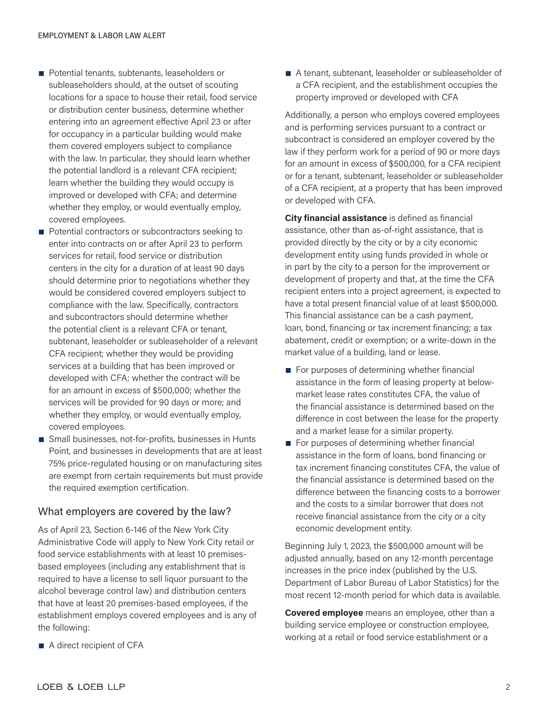- Potential tenants, subtenants, leaseholders or subleaseholders should, at the outset of scouting locations for a space to house their retail, food service or distribution center business, determine whether entering into an agreement effective April 23 or after for occupancy in a particular building would make them covered employers subject to compliance with the law. In particular, they should learn whether the potential landlord is a relevant CFA recipient; learn whether the building they would occupy is improved or developed with CFA; and determine whether they employ, or would eventually employ, covered employees.
- Potential contractors or subcontractors seeking to enter into contracts on or after April 23 to perform services for retail, food service or distribution centers in the city for a duration of at least 90 days should determine prior to negotiations whether they would be considered covered employers subject to compliance with the law. Specifically, contractors and subcontractors should determine whether the potential client is a relevant CFA or tenant, subtenant, leaseholder or subleaseholder of a relevant CFA recipient; whether they would be providing services at a building that has been improved or developed with CFA; whether the contract will be for an amount in excess of \$500,000; whether the services will be provided for 90 days or more; and whether they employ, or would eventually employ, covered employees.
- Small businesses, not-for-profits, businesses in Hunts Point, and businesses in developments that are at least 75% price-regulated housing or on manufacturing sites are exempt from certain requirements but must provide the required exemption certification.

#### What employers are covered by the law?

As of April 23, Section 6-146 of the New York City Administrative Code will apply to New York City retail or food service establishments with at least 10 premisesbased employees (including any establishment that is required to have a license to sell liquor pursuant to the alcohol beverage control law) and distribution centers that have at least 20 premises-based employees, if the establishment employs covered employees and is any of the following:

■ A tenant, subtenant, leaseholder or subleaseholder of a CFA recipient, and the establishment occupies the property improved or developed with CFA

Additionally, a person who employs covered employees and is performing services pursuant to a contract or subcontract is considered an employer covered by the law if they perform work for a period of 90 or more days for an amount in excess of \$500,000, for a CFA recipient or for a tenant, subtenant, leaseholder or subleaseholder of a CFA recipient, at a property that has been improved or developed with CFA.

**City financial assistance** is defined as financial assistance, other than as-of-right assistance, that is provided directly by the city or by a city economic development entity using funds provided in whole or in part by the city to a person for the improvement or development of property and that, at the time the CFA recipient enters into a project agreement, is expected to have a total present financial value of at least \$500,000. This financial assistance can be a cash payment, loan, bond, financing or tax increment financing; a tax abatement, credit or exemption; or a write-down in the market value of a building, land or lease.

- For purposes of determining whether financial assistance in the form of leasing property at belowmarket lease rates constitutes CFA, the value of the financial assistance is determined based on the difference in cost between the lease for the property and a market lease for a similar property.
- For purposes of determining whether financial assistance in the form of loans, bond financing or tax increment financing constitutes CFA, the value of the financial assistance is determined based on the difference between the financing costs to a borrower and the costs to a similar borrower that does not receive financial assistance from the city or a city economic development entity.

Beginning July 1, 2023, the \$500,000 amount will be adjusted annually, based on any 12-month percentage increases in the price index (published by the U.S. Department of Labor Bureau of Labor Statistics) for the most recent 12-month period for which data is available.

**Covered employee** means an employee, other than a building service employee or construction employee, working at a retail or food service establishment or a

■ A direct recipient of CFA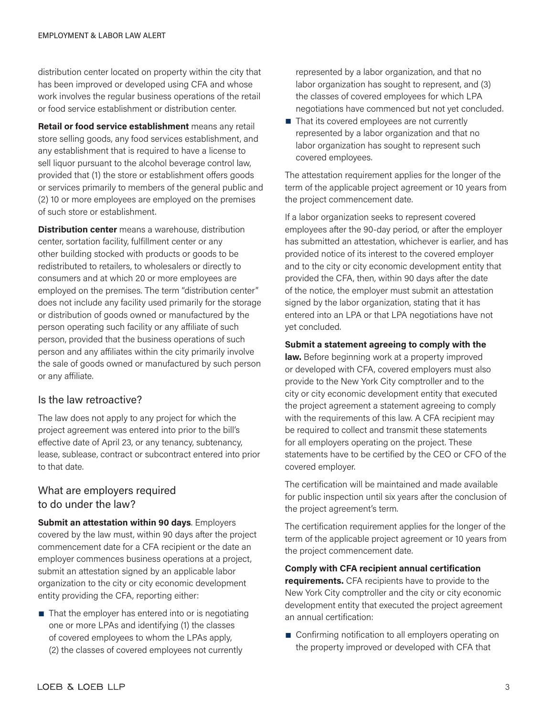distribution center located on property within the city that has been improved or developed using CFA and whose work involves the regular business operations of the retail or food service establishment or distribution center.

**Retail or food service establishment** means any retail store selling goods, any food services establishment, and any establishment that is required to have a license to sell liquor pursuant to the alcohol beverage control law, provided that (1) the store or establishment offers goods or services primarily to members of the general public and (2) 10 or more employees are employed on the premises of such store or establishment.

**Distribution center** means a warehouse, distribution center, sortation facility, fulfillment center or any other building stocked with products or goods to be redistributed to retailers, to wholesalers or directly to consumers and at which 20 or more employees are employed on the premises. The term "distribution center" does not include any facility used primarily for the storage or distribution of goods owned or manufactured by the person operating such facility or any affiliate of such person, provided that the business operations of such person and any affiliates within the city primarily involve the sale of goods owned or manufactured by such person or any affiliate.

#### Is the law retroactive?

The law does not apply to any project for which the project agreement was entered into prior to the bill's effective date of April 23, or any tenancy, subtenancy, lease, sublease, contract or subcontract entered into prior to that date.

## What are employers required to do under the law?

**Submit an attestation within 90 days**. Employers covered by the law must, within 90 days after the project commencement date for a CFA recipient or the date an employer commences business operations at a project, submit an attestation signed by an applicable labor organization to the city or city economic development entity providing the CFA, reporting either:

 $\blacksquare$  That the employer has entered into or is negotiating one or more LPAs and identifying (1) the classes of covered employees to whom the LPAs apply, (2) the classes of covered employees not currently

represented by a labor organization, and that no labor organization has sought to represent, and (3) the classes of covered employees for which LPA negotiations have commenced but not yet concluded.

■ That its covered employees are not currently represented by a labor organization and that no labor organization has sought to represent such covered employees.

The attestation requirement applies for the longer of the term of the applicable project agreement or 10 years from the project commencement date.

If a labor organization seeks to represent covered employees after the 90-day period, or after the employer has submitted an attestation, whichever is earlier, and has provided notice of its interest to the covered employer and to the city or city economic development entity that provided the CFA, then, within 90 days after the date of the notice, the employer must submit an attestation signed by the labor organization, stating that it has entered into an LPA or that LPA negotiations have not yet concluded.

#### **Submit a statement agreeing to comply with the**

**law.** Before beginning work at a property improved or developed with CFA, covered employers must also provide to the New York City comptroller and to the city or city economic development entity that executed the project agreement a statement agreeing to comply with the requirements of this law. A CFA recipient may be required to collect and transmit these statements for all employers operating on the project. These statements have to be certified by the CEO or CFO of the covered employer.

The certification will be maintained and made available for public inspection until six years after the conclusion of the project agreement's term.

The certification requirement applies for the longer of the term of the applicable project agreement or 10 years from the project commencement date.

**Comply with CFA recipient annual certification** 

**requirements.** CFA recipients have to provide to the New York City comptroller and the city or city economic development entity that executed the project agreement an annual certification:

■ Confirming notification to all employers operating on the property improved or developed with CFA that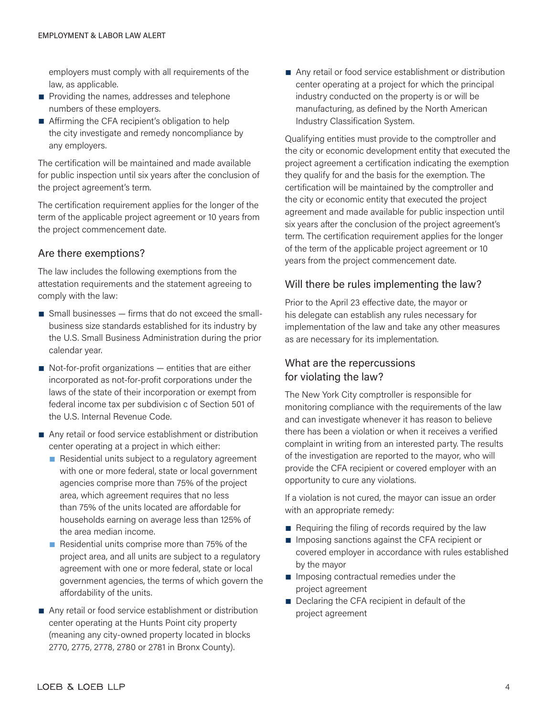employers must comply with all requirements of the law, as applicable.

- Providing the names, addresses and telephone numbers of these employers.
- Affirming the CFA recipient's obligation to help the city investigate and remedy noncompliance by any employers.

The certification will be maintained and made available for public inspection until six years after the conclusion of the project agreement's term.

The certification requirement applies for the longer of the term of the applicable project agreement or 10 years from the project commencement date.

## Are there exemptions?

The law includes the following exemptions from the attestation requirements and the statement agreeing to comply with the law:

- $\blacksquare$  Small businesses  $-$  firms that do not exceed the smallbusiness size standards established for its industry by the U.S. Small Business Administration during the prior calendar year.
- $\blacksquare$  Not-for-profit organizations  $-$  entities that are either incorporated as not-for-profit corporations under the laws of the state of their incorporation or exempt from federal income tax per subdivision c of Section 501 of the U.S. Internal Revenue Code.
- Any retail or food service establishment or distribution center operating at a project in which either:
	- Residential units subject to a regulatory agreement with one or more federal, state or local government agencies comprise more than 75% of the project area, which agreement requires that no less than 75% of the units located are affordable for households earning on average less than 125% of the area median income.
	- Residential units comprise more than 75% of the project area, and all units are subject to a regulatory agreement with one or more federal, state or local government agencies, the terms of which govern the affordability of the units.
- Any retail or food service establishment or distribution center operating at the Hunts Point city property (meaning any city-owned property located in blocks 2770, 2775, 2778, 2780 or 2781 in Bronx County).

■ Any retail or food service establishment or distribution center operating at a project for which the principal industry conducted on the property is or will be manufacturing, as defined by the North American Industry Classification System.

Qualifying entities must provide to the comptroller and the city or economic development entity that executed the project agreement a certification indicating the exemption they qualify for and the basis for the exemption. The certification will be maintained by the comptroller and the city or economic entity that executed the project agreement and made available for public inspection until six years after the conclusion of the project agreement's term. The certification requirement applies for the longer of the term of the applicable project agreement or 10 years from the project commencement date.

### Will there be rules implementing the law?

Prior to the April 23 effective date, the mayor or his delegate can establish any rules necessary for implementation of the law and take any other measures as are necessary for its implementation.

# What are the repercussions for violating the law?

The New York City comptroller is responsible for monitoring compliance with the requirements of the law and can investigate whenever it has reason to believe there has been a violation or when it receives a verified complaint in writing from an interested party. The results of the investigation are reported to the mayor, who will provide the CFA recipient or covered employer with an opportunity to cure any violations.

If a violation is not cured, the mayor can issue an order with an appropriate remedy:

- Requiring the filing of records required by the law
- Imposing sanctions against the CFA recipient or covered employer in accordance with rules established by the mayor
- Imposing contractual remedies under the project agreement
- Declaring the CFA recipient in default of the project agreement